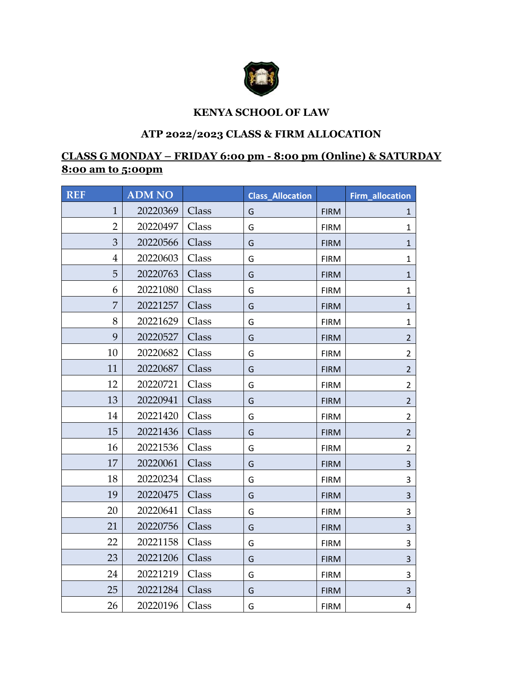

## **KENYA SCHOOL OF LAW**

## **ATP 2022/2023 CLASS & FIRM ALLOCATION**

## **CLASS G MONDAY – FRIDAY 6:00 pm - 8:00 pm (Online) & SATURDAY 8:00 am to 5:00pm**

| <b>REF</b>     | <b>ADM NO</b> |       | <b>Class_Allocation</b> |             | Firm_allocation |
|----------------|---------------|-------|-------------------------|-------------|-----------------|
| $\mathbf{1}$   | 20220369      | Class | G                       | <b>FIRM</b> | 1               |
| $\overline{2}$ | 20220497      | Class | G                       | <b>FIRM</b> | 1               |
| 3              | 20220566      | Class | G                       | <b>FIRM</b> | $\mathbf{1}$    |
| $\overline{4}$ | 20220603      | Class | G                       | <b>FIRM</b> | 1               |
| 5              | 20220763      | Class | G                       | <b>FIRM</b> | $\mathbf{1}$    |
| 6              | 20221080      | Class | G                       | <b>FIRM</b> | $\mathbf{1}$    |
| 7              | 20221257      | Class | G                       | <b>FIRM</b> | 1               |
| 8              | 20221629      | Class | G                       | <b>FIRM</b> | $\mathbf{1}$    |
| 9              | 20220527      | Class | G                       | <b>FIRM</b> | $\overline{2}$  |
| 10             | 20220682      | Class | G                       | <b>FIRM</b> | $\overline{2}$  |
| 11             | 20220687      | Class | G                       | <b>FIRM</b> | $\overline{2}$  |
| 12             | 20220721      | Class | G                       | <b>FIRM</b> | $\overline{2}$  |
| 13             | 20220941      | Class | G                       | <b>FIRM</b> | $\overline{2}$  |
| 14             | 20221420      | Class | G                       | <b>FIRM</b> | $\overline{2}$  |
| 15             | 20221436      | Class | G                       | <b>FIRM</b> | $\overline{2}$  |
| 16             | 20221536      | Class | G                       | <b>FIRM</b> | $\overline{2}$  |
| 17             | 20220061      | Class | G                       | <b>FIRM</b> | 3               |
| 18             | 20220234      | Class | G                       | <b>FIRM</b> | 3               |
| 19             | 20220475      | Class | G                       | <b>FIRM</b> | 3               |
| 20             | 20220641      | Class | G                       | <b>FIRM</b> | 3               |
| 21             | 20220756      | Class | G                       | <b>FIRM</b> | 3               |
| 22             | 20221158      | Class | G                       | <b>FIRM</b> | 3               |
| 23             | 20221206      | Class | G                       | <b>FIRM</b> | 3               |
| 24             | 20221219      | Class | G                       | <b>FIRM</b> | 3               |
| 25             | 20221284      | Class | G                       | <b>FIRM</b> | 3               |
| 26             | 20220196      | Class | G                       | <b>FIRM</b> | $\overline{4}$  |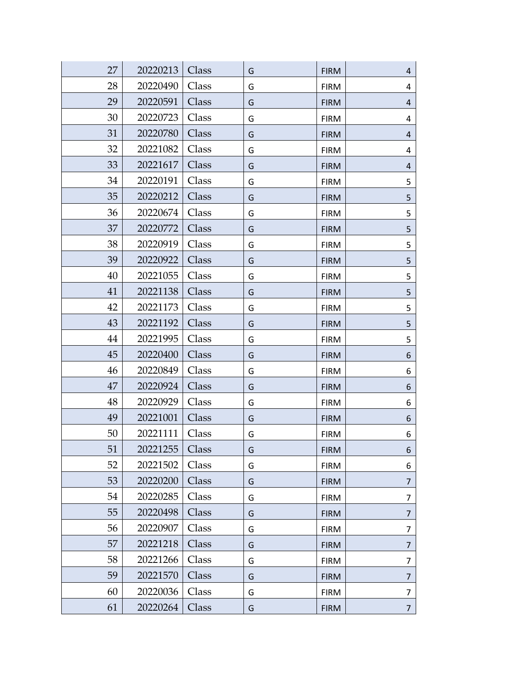| 27 | 20220213 | Class | G | <b>FIRM</b> | 4              |
|----|----------|-------|---|-------------|----------------|
| 28 | 20220490 | Class | G | <b>FIRM</b> | 4              |
| 29 | 20220591 | Class | G | <b>FIRM</b> | 4              |
| 30 | 20220723 | Class | G | <b>FIRM</b> | 4              |
| 31 | 20220780 | Class | G | <b>FIRM</b> | 4              |
| 32 | 20221082 | Class | G | <b>FIRM</b> | 4              |
| 33 | 20221617 | Class | G | <b>FIRM</b> | 4              |
| 34 | 20220191 | Class | G | <b>FIRM</b> | 5              |
| 35 | 20220212 | Class | G | <b>FIRM</b> | $\mathsf S$    |
| 36 | 20220674 | Class | G | <b>FIRM</b> | 5              |
| 37 | 20220772 | Class | G | <b>FIRM</b> | 5              |
| 38 | 20220919 | Class | G | <b>FIRM</b> | 5              |
| 39 | 20220922 | Class | G | <b>FIRM</b> | 5              |
| 40 | 20221055 | Class | G | <b>FIRM</b> | 5              |
| 41 | 20221138 | Class | G | <b>FIRM</b> | 5              |
| 42 | 20221173 | Class | G | <b>FIRM</b> | 5              |
| 43 | 20221192 | Class | G | <b>FIRM</b> | 5              |
| 44 | 20221995 | Class | G | <b>FIRM</b> | 5              |
| 45 | 20220400 | Class | G | <b>FIRM</b> | 6              |
| 46 | 20220849 | Class | G | <b>FIRM</b> | 6              |
| 47 | 20220924 | Class | G | <b>FIRM</b> | 6              |
| 48 | 20220929 | Class | G | <b>FIRM</b> | 6              |
| 49 | 20221001 | Class | G | <b>FIRM</b> | 6              |
| 50 | 20221111 | Class | G | <b>FIRM</b> | 6              |
| 51 | 20221255 | Class | G | <b>FIRM</b> | 6              |
| 52 | 20221502 | Class | G | <b>FIRM</b> | 6              |
| 53 | 20220200 | Class | G | <b>FIRM</b> | $\overline{7}$ |
| 54 | 20220285 | Class | G | <b>FIRM</b> | 7              |
| 55 | 20220498 | Class | G | <b>FIRM</b> | $\overline{7}$ |
| 56 | 20220907 | Class | G | <b>FIRM</b> | 7              |
| 57 | 20221218 | Class | G | <b>FIRM</b> | 7              |
| 58 | 20221266 | Class | G | <b>FIRM</b> | 7              |
| 59 | 20221570 | Class | G | <b>FIRM</b> | $\overline{7}$ |
| 60 | 20220036 | Class | G | <b>FIRM</b> | $\overline{7}$ |
| 61 | 20220264 | Class | G | <b>FIRM</b> | $\overline{7}$ |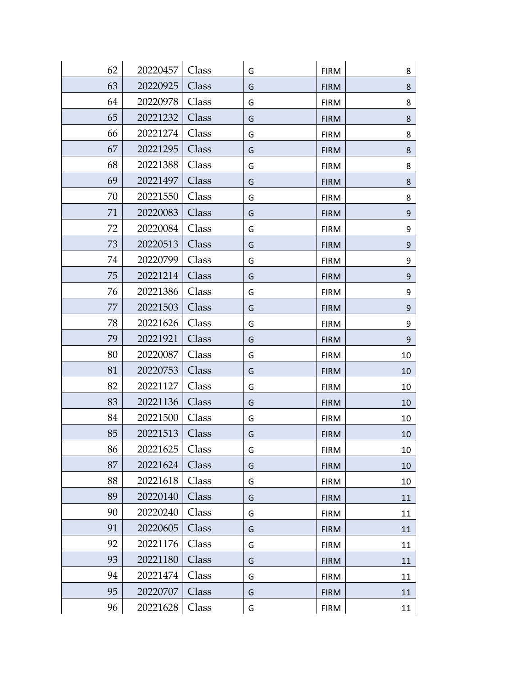| 62 | 20220457 | Class | G | <b>FIRM</b> | 8      |
|----|----------|-------|---|-------------|--------|
| 63 | 20220925 | Class | G | <b>FIRM</b> | 8      |
| 64 | 20220978 | Class | G | <b>FIRM</b> | 8      |
| 65 | 20221232 | Class | G | <b>FIRM</b> | 8      |
| 66 | 20221274 | Class | G | <b>FIRM</b> | 8      |
| 67 | 20221295 | Class | G | <b>FIRM</b> | 8      |
| 68 | 20221388 | Class | G | <b>FIRM</b> | 8      |
| 69 | 20221497 | Class | G | <b>FIRM</b> | 8      |
| 70 | 20221550 | Class | G | <b>FIRM</b> | 8      |
| 71 | 20220083 | Class | G | <b>FIRM</b> | 9      |
| 72 | 20220084 | Class | G | <b>FIRM</b> | 9      |
| 73 | 20220513 | Class | G | <b>FIRM</b> | 9      |
| 74 | 20220799 | Class | G | <b>FIRM</b> | 9      |
| 75 | 20221214 | Class | G | <b>FIRM</b> | 9      |
| 76 | 20221386 | Class | G | <b>FIRM</b> | 9      |
| 77 | 20221503 | Class | G | <b>FIRM</b> | 9      |
| 78 | 20221626 | Class | G | <b>FIRM</b> | 9      |
| 79 | 20221921 | Class | G | <b>FIRM</b> | 9      |
| 80 | 20220087 | Class | G | <b>FIRM</b> | 10     |
| 81 | 20220753 | Class | G | <b>FIRM</b> | 10     |
| 82 | 20221127 | Class | G | <b>FIRM</b> | 10     |
| 83 | 20221136 | Class | G | <b>FIRM</b> | 10     |
| 84 | 20221500 | Class | G | <b>FIRM</b> | 10     |
| 85 | 20221513 | Class | G | <b>FIRM</b> | $10\,$ |
| 86 | 20221625 | Class | G | <b>FIRM</b> | 10     |
| 87 | 20221624 | Class | G | <b>FIRM</b> | 10     |
| 88 | 20221618 | Class | G | <b>FIRM</b> | 10     |
| 89 | 20220140 | Class | G | <b>FIRM</b> | 11     |
| 90 | 20220240 | Class | G | <b>FIRM</b> | 11     |
| 91 | 20220605 | Class | G | <b>FIRM</b> | 11     |
| 92 | 20221176 | Class | G | <b>FIRM</b> | 11     |
| 93 | 20221180 | Class | G | <b>FIRM</b> | 11     |
| 94 | 20221474 | Class | G | <b>FIRM</b> | 11     |
| 95 | 20220707 | Class | G | <b>FIRM</b> | 11     |
| 96 | 20221628 | Class | G | <b>FIRM</b> | 11     |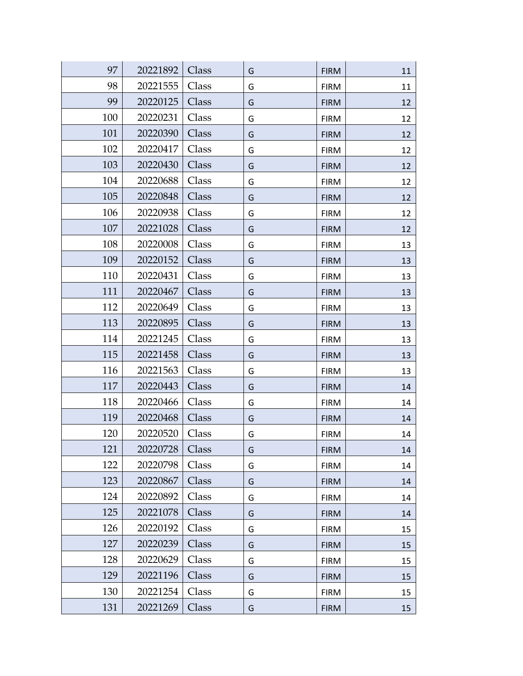| 97  | 20221892 | Class | G | <b>FIRM</b> | 11 |
|-----|----------|-------|---|-------------|----|
| 98  | 20221555 | Class | G | <b>FIRM</b> | 11 |
| 99  | 20220125 | Class | G | <b>FIRM</b> | 12 |
| 100 | 20220231 | Class | G | <b>FIRM</b> | 12 |
| 101 | 20220390 | Class | G | <b>FIRM</b> | 12 |
| 102 | 20220417 | Class | G | <b>FIRM</b> | 12 |
| 103 | 20220430 | Class | G | <b>FIRM</b> | 12 |
| 104 | 20220688 | Class | G | <b>FIRM</b> | 12 |
| 105 | 20220848 | Class | G | <b>FIRM</b> | 12 |
| 106 | 20220938 | Class | G | <b>FIRM</b> | 12 |
| 107 | 20221028 | Class | G | <b>FIRM</b> | 12 |
| 108 | 20220008 | Class | G | <b>FIRM</b> | 13 |
| 109 | 20220152 | Class | G | <b>FIRM</b> | 13 |
| 110 | 20220431 | Class | G | <b>FIRM</b> | 13 |
| 111 | 20220467 | Class | G | <b>FIRM</b> | 13 |
| 112 | 20220649 | Class | G | <b>FIRM</b> | 13 |
| 113 | 20220895 | Class | G | <b>FIRM</b> | 13 |
| 114 | 20221245 | Class | G | <b>FIRM</b> | 13 |
| 115 | 20221458 | Class | G | <b>FIRM</b> | 13 |
| 116 | 20221563 | Class | G | <b>FIRM</b> | 13 |
| 117 | 20220443 | Class | G | <b>FIRM</b> | 14 |
| 118 | 20220466 | Class | G | <b>FIRM</b> | 14 |
| 119 | 20220468 | Class | G | <b>FIRM</b> | 14 |
| 120 | 20220520 | Class | G | <b>FIRM</b> | 14 |
| 121 | 20220728 | Class | G | <b>FIRM</b> | 14 |
| 122 | 20220798 | Class | G | <b>FIRM</b> | 14 |
| 123 | 20220867 | Class | G | <b>FIRM</b> | 14 |
| 124 | 20220892 | Class | G | <b>FIRM</b> | 14 |
| 125 | 20221078 | Class | G | <b>FIRM</b> | 14 |
| 126 | 20220192 | Class | G | <b>FIRM</b> | 15 |
| 127 | 20220239 | Class | G | <b>FIRM</b> | 15 |
| 128 | 20220629 | Class | G | <b>FIRM</b> | 15 |
| 129 | 20221196 | Class | G | <b>FIRM</b> | 15 |
| 130 | 20221254 | Class | G | <b>FIRM</b> | 15 |
| 131 | 20221269 | Class | G | <b>FIRM</b> | 15 |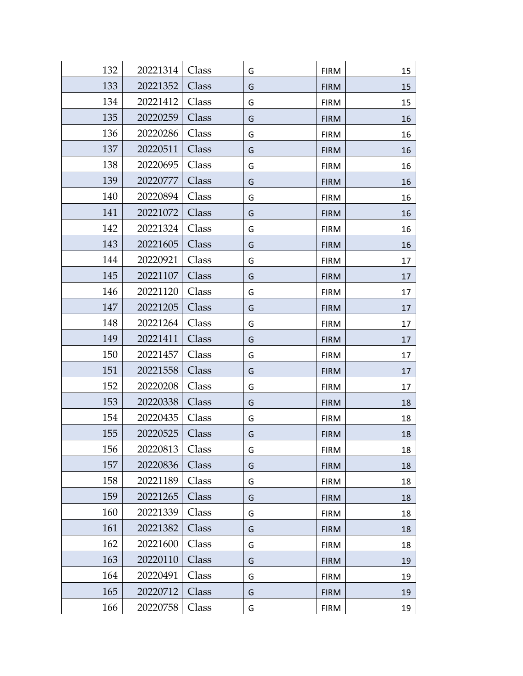| 132 | 20221314 | Class | G | <b>FIRM</b> | 15 |
|-----|----------|-------|---|-------------|----|
| 133 | 20221352 | Class | G | <b>FIRM</b> | 15 |
| 134 | 20221412 | Class | G | <b>FIRM</b> | 15 |
| 135 | 20220259 | Class | G | <b>FIRM</b> | 16 |
| 136 | 20220286 | Class | G | <b>FIRM</b> | 16 |
| 137 | 20220511 | Class | G | <b>FIRM</b> | 16 |
| 138 | 20220695 | Class | G | <b>FIRM</b> | 16 |
| 139 | 20220777 | Class | G | <b>FIRM</b> | 16 |
| 140 | 20220894 | Class | G | <b>FIRM</b> | 16 |
| 141 | 20221072 | Class | G | <b>FIRM</b> | 16 |
| 142 | 20221324 | Class | G | <b>FIRM</b> | 16 |
| 143 | 20221605 | Class | G | <b>FIRM</b> | 16 |
| 144 | 20220921 | Class | G | <b>FIRM</b> | 17 |
| 145 | 20221107 | Class | G | <b>FIRM</b> | 17 |
| 146 | 20221120 | Class | G | <b>FIRM</b> | 17 |
| 147 | 20221205 | Class | G | <b>FIRM</b> | 17 |
| 148 | 20221264 | Class | G | <b>FIRM</b> | 17 |
| 149 | 20221411 | Class | G | <b>FIRM</b> | 17 |
| 150 | 20221457 | Class | G | <b>FIRM</b> | 17 |
| 151 | 20221558 | Class | G | <b>FIRM</b> | 17 |
| 152 | 20220208 | Class | G | <b>FIRM</b> | 17 |
| 153 | 20220338 | Class | G | <b>FIRM</b> | 18 |
| 154 | 20220435 | Class | G | <b>FIRM</b> | 18 |
| 155 | 20220525 | Class | G | <b>FIRM</b> | 18 |
| 156 | 20220813 | Class | G | <b>FIRM</b> | 18 |
| 157 | 20220836 | Class | G | <b>FIRM</b> | 18 |
| 158 | 20221189 | Class | G | <b>FIRM</b> | 18 |
| 159 | 20221265 | Class | G | <b>FIRM</b> | 18 |
| 160 | 20221339 | Class | G | <b>FIRM</b> | 18 |
| 161 | 20221382 | Class | G | <b>FIRM</b> | 18 |
| 162 | 20221600 | Class | G | <b>FIRM</b> | 18 |
| 163 | 20220110 | Class | G | <b>FIRM</b> | 19 |
| 164 | 20220491 | Class | G | <b>FIRM</b> | 19 |
| 165 | 20220712 | Class | G | <b>FIRM</b> | 19 |
| 166 | 20220758 | Class | G | <b>FIRM</b> | 19 |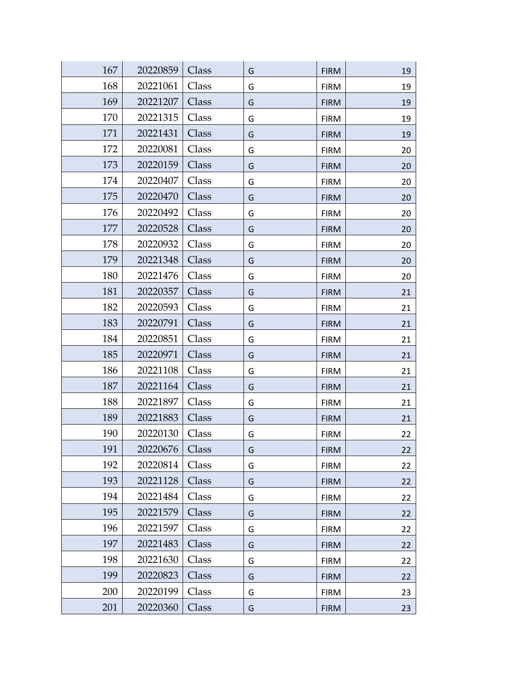| 167 | 20220859 | Class | G | <b>FIRM</b> | 19 |
|-----|----------|-------|---|-------------|----|
| 168 | 20221061 | Class | G | <b>FIRM</b> | 19 |
| 169 | 20221207 | Class | G | <b>FIRM</b> | 19 |
| 170 | 20221315 | Class | G | <b>FIRM</b> | 19 |
| 171 | 20221431 | Class | G | <b>FIRM</b> | 19 |
| 172 | 20220081 | Class | G | <b>FIRM</b> | 20 |
| 173 | 20220159 | Class | G | <b>FIRM</b> | 20 |
| 174 | 20220407 | Class | G | <b>FIRM</b> | 20 |
| 175 | 20220470 | Class | G | <b>FIRM</b> | 20 |
| 176 | 20220492 | Class | G | <b>FIRM</b> | 20 |
| 177 | 20220528 | Class | G | <b>FIRM</b> | 20 |
| 178 | 20220932 | Class | G | <b>FIRM</b> | 20 |
| 179 | 20221348 | Class | G | <b>FIRM</b> | 20 |
| 180 | 20221476 | Class | G | <b>FIRM</b> | 20 |
| 181 | 20220357 | Class | G | <b>FIRM</b> | 21 |
| 182 | 20220593 | Class | G | <b>FIRM</b> | 21 |
| 183 | 20220791 | Class | G | <b>FIRM</b> | 21 |
| 184 | 20220851 | Class | G | <b>FIRM</b> | 21 |
| 185 | 20220971 | Class | G | <b>FIRM</b> | 21 |
| 186 | 20221108 | Class | G | <b>FIRM</b> | 21 |
| 187 | 20221164 | Class | G | <b>FIRM</b> | 21 |
| 188 | 20221897 | Class | G | <b>FIRM</b> | 21 |
| 189 | 20221883 | Class | G | <b>FIRM</b> | 21 |
| 190 | 20220130 | Class | G | <b>FIRM</b> | 22 |
| 191 | 20220676 | Class | G | <b>FIRM</b> | 22 |
| 192 | 20220814 | Class | G | <b>FIRM</b> | 22 |
| 193 | 20221128 | Class | G | <b>FIRM</b> | 22 |
| 194 | 20221484 | Class | G | <b>FIRM</b> | 22 |
| 195 | 20221579 | Class | G | <b>FIRM</b> | 22 |
| 196 | 20221597 | Class | G | <b>FIRM</b> | 22 |
| 197 | 20221483 | Class | G | <b>FIRM</b> | 22 |
| 198 | 20221630 | Class | G | <b>FIRM</b> | 22 |
| 199 | 20220823 | Class | G | <b>FIRM</b> | 22 |
| 200 | 20220199 | Class | G | <b>FIRM</b> | 23 |
| 201 | 20220360 | Class | G | <b>FIRM</b> | 23 |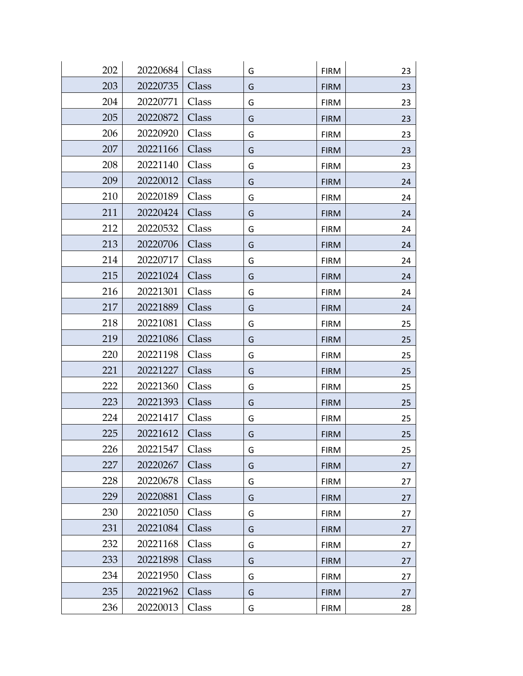| 202 | 20220684 | Class |   |             |    |
|-----|----------|-------|---|-------------|----|
|     |          |       | G | <b>FIRM</b> | 23 |
| 203 | 20220735 | Class | G | <b>FIRM</b> | 23 |
| 204 | 20220771 | Class | G | <b>FIRM</b> | 23 |
| 205 | 20220872 | Class | G | <b>FIRM</b> | 23 |
| 206 | 20220920 | Class | G | <b>FIRM</b> | 23 |
| 207 | 20221166 | Class | G | <b>FIRM</b> | 23 |
| 208 | 20221140 | Class | G | <b>FIRM</b> | 23 |
| 209 | 20220012 | Class | G | <b>FIRM</b> | 24 |
| 210 | 20220189 | Class | G | <b>FIRM</b> | 24 |
| 211 | 20220424 | Class | G | <b>FIRM</b> | 24 |
| 212 | 20220532 | Class | G | <b>FIRM</b> | 24 |
| 213 | 20220706 | Class | G | <b>FIRM</b> | 24 |
| 214 | 20220717 | Class | G | <b>FIRM</b> | 24 |
| 215 | 20221024 | Class | G | <b>FIRM</b> | 24 |
| 216 | 20221301 | Class | G | <b>FIRM</b> | 24 |
| 217 | 20221889 | Class | G | <b>FIRM</b> | 24 |
| 218 | 20221081 | Class | G | <b>FIRM</b> | 25 |
| 219 | 20221086 | Class | G | <b>FIRM</b> | 25 |
| 220 | 20221198 | Class | G | <b>FIRM</b> | 25 |
| 221 | 20221227 | Class | G | <b>FIRM</b> | 25 |
| 222 | 20221360 | Class | G | <b>FIRM</b> | 25 |
| 223 | 20221393 | Class | G | <b>FIRM</b> | 25 |
| 224 | 20221417 | Class | G | <b>FIRM</b> | 25 |
| 225 | 20221612 | Class | G | <b>FIRM</b> | 25 |
| 226 | 20221547 | Class | G | <b>FIRM</b> | 25 |
| 227 | 20220267 | Class | G | <b>FIRM</b> | 27 |
| 228 | 20220678 | Class | G | <b>FIRM</b> | 27 |
| 229 | 20220881 | Class | G | <b>FIRM</b> | 27 |
| 230 | 20221050 | Class | G | <b>FIRM</b> | 27 |
| 231 | 20221084 | Class | G | <b>FIRM</b> | 27 |
| 232 | 20221168 | Class | G | <b>FIRM</b> | 27 |
| 233 | 20221898 | Class | G | <b>FIRM</b> | 27 |
| 234 | 20221950 | Class | G | <b>FIRM</b> | 27 |
| 235 | 20221962 | Class | G | <b>FIRM</b> | 27 |
| 236 | 20220013 | Class | G | <b>FIRM</b> | 28 |